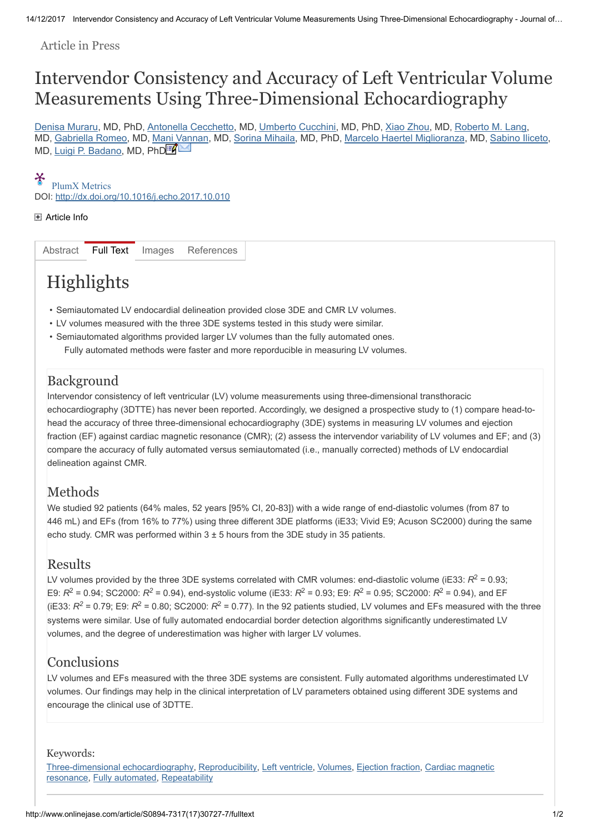Article in Press

## Intervendor Consistency and Accuracy of Left Ventricular Volume Measurements Using Three-Dimensional Echocardiography

[Denisa Muraru,](javascript:void(0);) MD, PhD, [Antonella Cecchetto](javascript:void(0);), MD, [Umberto Cucchini,](javascript:void(0);) MD, PhD, [Xiao Zhou](javascript:void(0);), MD, [Roberto M. Lang](javascript:void(0);), MD, [Gabriella Romeo](javascript:void(0);), MD, [Mani Vannan,](javascript:void(0);) MD, [Sorina Mihaila](javascript:void(0);), MD, PhD, [Marcelo Haertel Miglioranza](javascript:void(0);), MD, [Sabino Iliceto](javascript:void(0);), MD, <u>Luigi P. Badano</u>, MD, PhD<sup>i</sup>

#### X

DOI: <http://dx.doi.org/10.1016/j.echo.2017.10.010> [PlumX Metrics](https://plu.mx/plum/a/?doi=10.1016/j.echo.2017.10.010&theme=plum-jbs-theme&hideUsage=true)

#### [Article Info](http://www.onlinejase.com/article/S0894-7317(17)30727-7/fulltext#)

[Abstract](http://www.onlinejase.com/article/S0894-7317(17)30727-7/abstract) [Full Text](http://www.onlinejase.com/article/S0894-7317(17)30727-7/fulltext) [Images](http://www.onlinejase.com/action/showFullTextImages?pii=S0894-7317%2817%2930727-7) [References](http://www.onlinejase.com/article/S0894-7317(17)30727-7/references)

# Highlights

- Semiautomated LV endocardial delineation provided close 3DE and CMR LV volumes.
- LV volumes measured with the three 3DE systems tested in this study were similar.
- Semiautomated algorithms provided larger LV volumes than the fully automated ones. Fully automated methods were faster and more reporducible in measuring LV volumes.

## **Background**

Intervendor consistency of left ventricular (LV) volume measurements using three-dimensional transthoracic echocardiography (3DTTE) has never been reported. Accordingly, we designed a prospective study to (1) compare head-tohead the accuracy of three three-dimensional echocardiography (3DE) systems in measuring LV volumes and ejection fraction (EF) against cardiac magnetic resonance (CMR); (2) assess the intervendor variability of LV volumes and EF; and (3) compare the accuracy of fully automated versus semiautomated (i.e., manually corrected) methods of LV endocardial delineation against CMR.

## Methods

We studied 92 patients (64% males, 52 years [95% CI, 20-83]) with a wide range of end-diastolic volumes (from 87 to 446 mL) and EFs (from 16% to 77%) using three different 3DE platforms (iE33; Vivid E9; Acuson SC2000) during the same echo study. CMR was performed within  $3 \pm 5$  hours from the 3DE study in 35 patients.

#### **Results**

LV volumes provided by the three 3DE systems correlated with CMR volumes: end-diastolic volume (iE33:  $R^2$  = 0.93; E9:  $R^2$  = 0.94; SC2000:  $R^2$  = 0.94), end-systolic volume (iE33:  $R^2$  = 0.93; E9:  $R^2$  = 0.95; SC2000:  $R^2$  = 0.94), and EF (iE33:  $R^2$  = 0.79; E9:  $R^2$  = 0.80; SC2000:  $R^2$  = 0.77). In the 92 patients studied, LV volumes and EFs measured with the three systems were similar. Use of fully automated endocardial border detection algorithms significantly underestimated LV volumes, and the degree of underestimation was higher with larger LV volumes.

## **Conclusions**

LV volumes and EFs measured with the three 3DE systems are consistent. Fully automated algorithms underestimated LV volumes. Our findings may help in the clinical interpretation of LV parameters obtained using different 3DE systems and encourage the clinical use of 3DTTE.

#### Keywords:

[Three-dimensional echocardiography](http://www.onlinejase.com/action/doSearch?searchType=quick&occurrences=all<rlSrch=true&searchScope=series&searchText=Three-dimensional%20echocardiography&seriesISSN=0894-7317)[,](http://www.onlinejase.com/action/doSearch?searchType=quick&occurrences=all<rlSrch=true&searchScope=series&searchText=Cardiac%20magnetic%20resonance&seriesISSN=0894-7317) [Reproducibility](http://www.onlinejase.com/action/doSearch?searchType=quick&occurrences=all<rlSrch=true&searchScope=series&searchText=Reproducibility&seriesISSN=0894-7317), [Left ventricle,](http://www.onlinejase.com/action/doSearch?searchType=quick&occurrences=all<rlSrch=true&searchScope=series&searchText=Left%20ventricle&seriesISSN=0894-7317) [Volumes](http://www.onlinejase.com/action/doSearch?searchType=quick&occurrences=all<rlSrch=true&searchScope=series&searchText=Volumes&seriesISSN=0894-7317), [Ejection fraction](http://www.onlinejase.com/action/doSearch?searchType=quick&occurrences=all<rlSrch=true&searchScope=series&searchText=Ejection%20fraction&seriesISSN=0894-7317), Cardiac magnetic resonance, [Fully automated](http://www.onlinejase.com/action/doSearch?searchType=quick&occurrences=all<rlSrch=true&searchScope=series&searchText=Fully%20automated&seriesISSN=0894-7317), [Repeatability](http://www.onlinejase.com/action/doSearch?searchType=quick&occurrences=all<rlSrch=true&searchScope=series&searchText=Repeatability&seriesISSN=0894-7317)